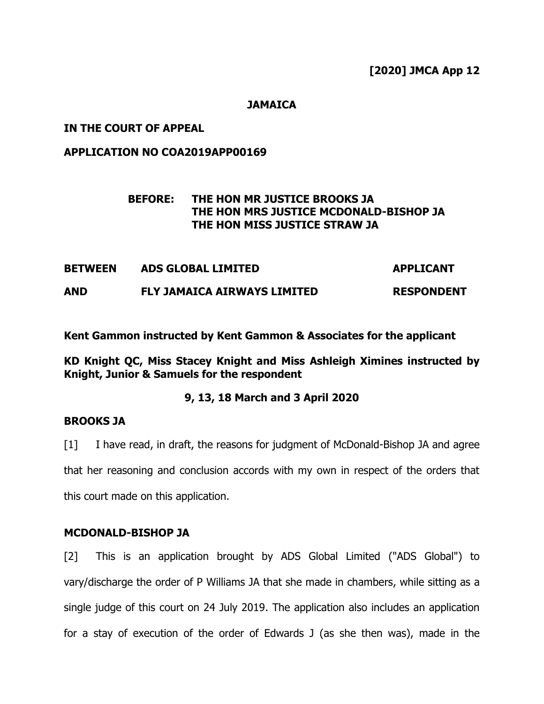#### **JAMAICA**

## **IN THE COURT OF APPEAL**

## **APPLICATION NO COA2019APP00169**

# **BEFORE: THE HON MR JUSTICE BROOKS JA THE HON MRS JUSTICE MCDONALD-BISHOP JA THE HON MISS JUSTICE STRAW JA**

| <b>BETWEEN</b> | <b>ADS GLOBAL LIMITED</b>          | <b>APPLICANT</b>  |
|----------------|------------------------------------|-------------------|
| <b>AND</b>     | <b>FLY JAMAICA AIRWAYS LIMITED</b> | <b>RESPONDENT</b> |

**Kent Gammon instructed by Kent Gammon & Associates for the applicant** 

**KD Knight QC, Miss Stacey Knight and Miss Ashleigh Ximines instructed by Knight, Junior & Samuels for the respondent**

#### **9, 13, 18 March and 3 April 2020**

## **BROOKS JA**

[1] I have read, in draft, the reasons for judgment of McDonald-Bishop JA and agree that her reasoning and conclusion accords with my own in respect of the orders that this court made on this application.

#### **MCDONALD-BISHOP JA**

[2] This is an application brought by ADS Global Limited ("ADS Global") to vary/discharge the order of P Williams JA that she made in chambers, while sitting as a single judge of this court on 24 July 2019. The application also includes an application for a stay of execution of the order of Edwards J (as she then was), made in the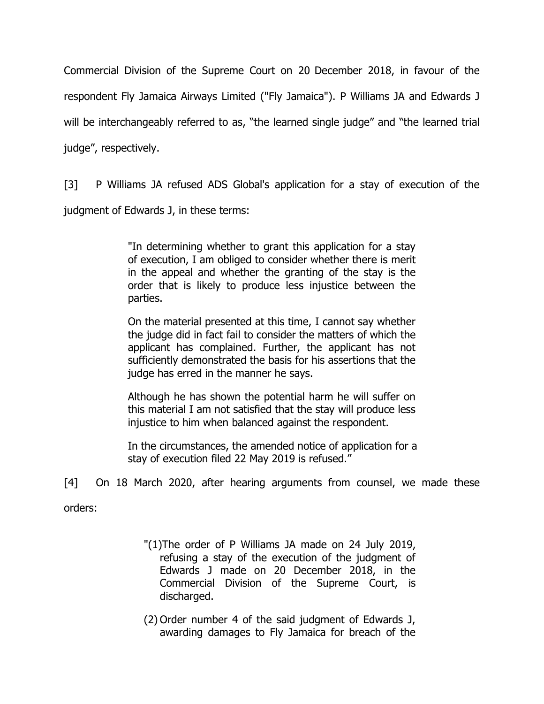Commercial Division of the Supreme Court on 20 December 2018, in favour of the respondent Fly Jamaica Airways Limited ("Fly Jamaica"). P Williams JA and Edwards J will be interchangeably referred to as, "the learned single judge" and "the learned trial judge", respectively.

[3] P Williams JA refused ADS Global's application for a stay of execution of the

judgment of Edwards J, in these terms:

"In determining whether to grant this application for a stay of execution, I am obliged to consider whether there is merit in the appeal and whether the granting of the stay is the order that is likely to produce less injustice between the parties.

On the material presented at this time, I cannot say whether the judge did in fact fail to consider the matters of which the applicant has complained. Further, the applicant has not sufficiently demonstrated the basis for his assertions that the judge has erred in the manner he says.

Although he has shown the potential harm he will suffer on this material I am not satisfied that the stay will produce less injustice to him when balanced against the respondent.

In the circumstances, the amended notice of application for a stay of execution filed 22 May 2019 is refused."

[4] On 18 March 2020, after hearing arguments from counsel, we made these

orders:

- "(1)The order of P Williams JA made on 24 July 2019, refusing a stay of the execution of the judgment of Edwards J made on 20 December 2018, in the Commercial Division of the Supreme Court, is discharged.
- (2) Order number 4 of the said judgment of Edwards J, awarding damages to Fly Jamaica for breach of the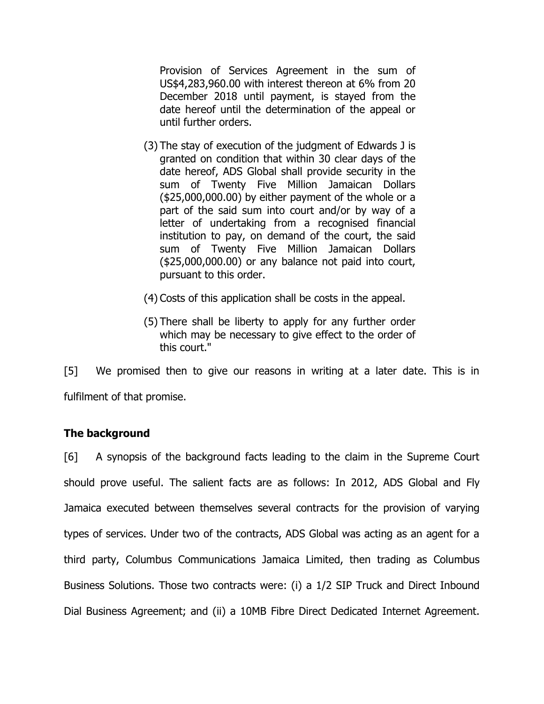Provision of Services Agreement in the sum of US\$4,283,960.00 with interest thereon at 6% from 20 December 2018 until payment, is stayed from the date hereof until the determination of the appeal or until further orders.

- (3) The stay of execution of the judgment of Edwards J is granted on condition that within 30 clear days of the date hereof, ADS Global shall provide security in the sum of Twenty Five Million Jamaican Dollars (\$25,000,000.00) by either payment of the whole or a part of the said sum into court and/or by way of a letter of undertaking from a recognised financial institution to pay, on demand of the court, the said sum of Twenty Five Million Jamaican Dollars (\$25,000,000.00) or any balance not paid into court, pursuant to this order.
- (4) Costs of this application shall be costs in the appeal.
- (5) There shall be liberty to apply for any further order which may be necessary to give effect to the order of this court."

[5] We promised then to give our reasons in writing at a later date. This is in fulfilment of that promise.

# **The background**

[6] A synopsis of the background facts leading to the claim in the Supreme Court should prove useful. The salient facts are as follows: In 2012, ADS Global and Fly Jamaica executed between themselves several contracts for the provision of varying types of services. Under two of the contracts, ADS Global was acting as an agent for a third party, Columbus Communications Jamaica Limited, then trading as Columbus Business Solutions. Those two contracts were: (i) a 1/2 SIP Truck and Direct Inbound Dial Business Agreement; and (ii) a 10MB Fibre Direct Dedicated Internet Agreement.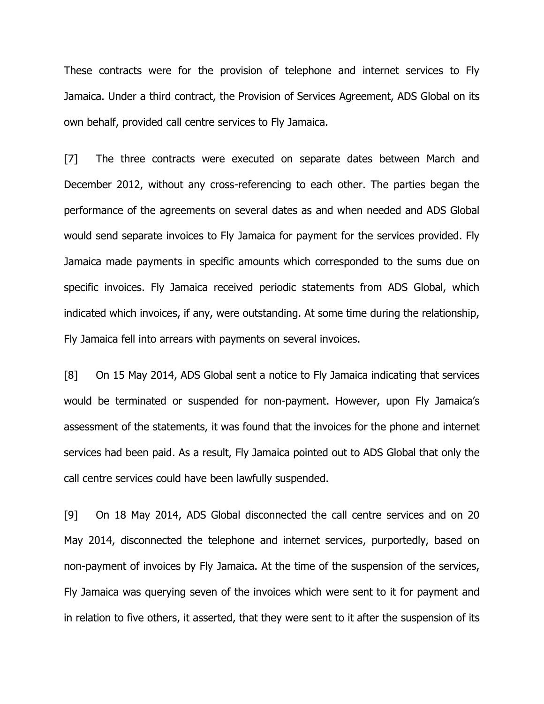These contracts were for the provision of telephone and internet services to Fly Jamaica. Under a third contract, the Provision of Services Agreement, ADS Global on its own behalf, provided call centre services to Fly Jamaica.

[7] The three contracts were executed on separate dates between March and December 2012, without any cross-referencing to each other. The parties began the performance of the agreements on several dates as and when needed and ADS Global would send separate invoices to Fly Jamaica for payment for the services provided. Fly Jamaica made payments in specific amounts which corresponded to the sums due on specific invoices. Fly Jamaica received periodic statements from ADS Global, which indicated which invoices, if any, were outstanding. At some time during the relationship, Fly Jamaica fell into arrears with payments on several invoices.

[8] On 15 May 2014, ADS Global sent a notice to Fly Jamaica indicating that services would be terminated or suspended for non-payment. However, upon Fly Jamaica's assessment of the statements, it was found that the invoices for the phone and internet services had been paid. As a result, Fly Jamaica pointed out to ADS Global that only the call centre services could have been lawfully suspended.

[9] On 18 May 2014, ADS Global disconnected the call centre services and on 20 May 2014, disconnected the telephone and internet services, purportedly, based on non-payment of invoices by Fly Jamaica. At the time of the suspension of the services, Fly Jamaica was querying seven of the invoices which were sent to it for payment and in relation to five others, it asserted, that they were sent to it after the suspension of its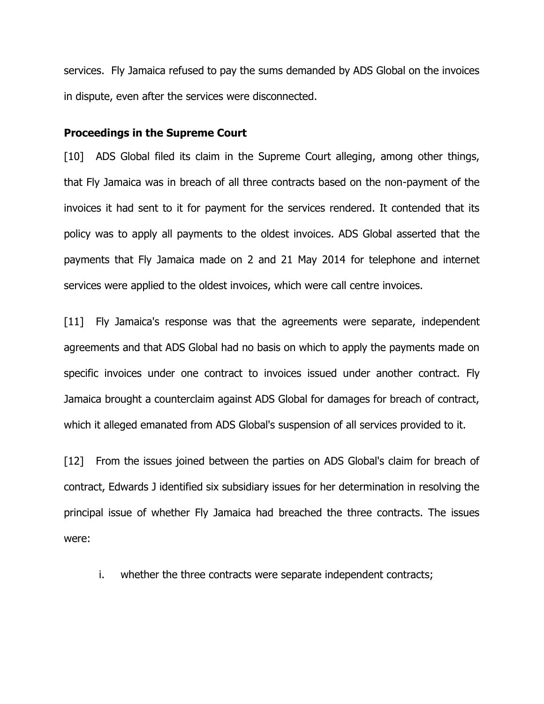services. Fly Jamaica refused to pay the sums demanded by ADS Global on the invoices in dispute, even after the services were disconnected.

#### **Proceedings in the Supreme Court**

[10] ADS Global filed its claim in the Supreme Court alleging, among other things, that Fly Jamaica was in breach of all three contracts based on the non-payment of the invoices it had sent to it for payment for the services rendered. It contended that its policy was to apply all payments to the oldest invoices. ADS Global asserted that the payments that Fly Jamaica made on 2 and 21 May 2014 for telephone and internet services were applied to the oldest invoices, which were call centre invoices.

[11] Fly Jamaica's response was that the agreements were separate, independent agreements and that ADS Global had no basis on which to apply the payments made on specific invoices under one contract to invoices issued under another contract. Fly Jamaica brought a counterclaim against ADS Global for damages for breach of contract, which it alleged emanated from ADS Global's suspension of all services provided to it.

[12] From the issues joined between the parties on ADS Global's claim for breach of contract, Edwards J identified six subsidiary issues for her determination in resolving the principal issue of whether Fly Jamaica had breached the three contracts. The issues were:

i. whether the three contracts were separate independent contracts;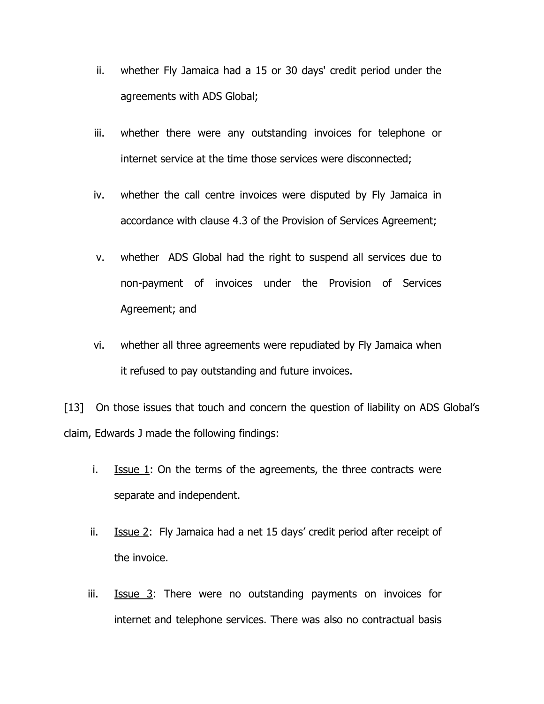- ii. whether Fly Jamaica had a 15 or 30 days' credit period under the agreements with ADS Global;
- iii. whether there were any outstanding invoices for telephone or internet service at the time those services were disconnected;
- iv. whether the call centre invoices were disputed by Fly Jamaica in accordance with clause 4.3 of the Provision of Services Agreement;
- v. whether ADS Global had the right to suspend all services due to non-payment of invoices under the Provision of Services Agreement; and
- vi. whether all three agreements were repudiated by Fly Jamaica when it refused to pay outstanding and future invoices.

[13] On those issues that touch and concern the question of liability on ADS Global's claim, Edwards J made the following findings:

- i. Issue 1: On the terms of the agreements, the three contracts were separate and independent.
- ii. **Issue 2:** Fly Jamaica had a net 15 days' credit period after receipt of the invoice.
- iii. **Issue 3:** There were no outstanding payments on invoices for internet and telephone services. There was also no contractual basis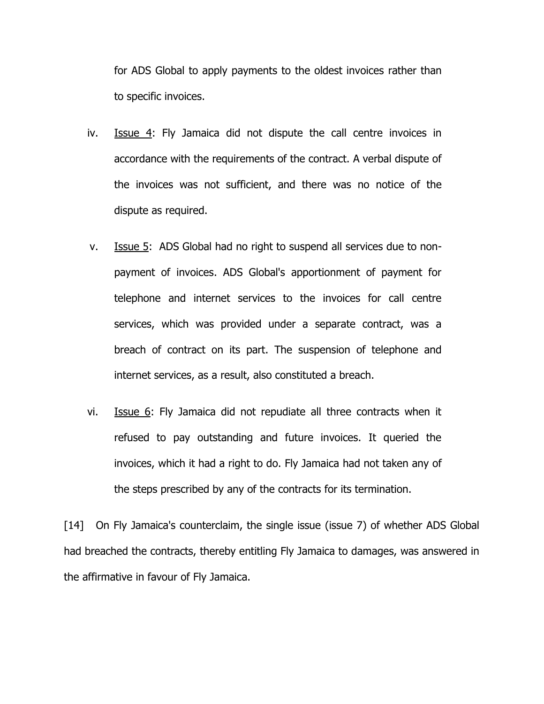for ADS Global to apply payments to the oldest invoices rather than to specific invoices.

- iv. Issue 4: Fly Jamaica did not dispute the call centre invoices in accordance with the requirements of the contract. A verbal dispute of the invoices was not sufficient, and there was no notice of the dispute as required.
- v. Issue 5: ADS Global had no right to suspend all services due to nonpayment of invoices. ADS Global's apportionment of payment for telephone and internet services to the invoices for call centre services, which was provided under a separate contract, was a breach of contract on its part. The suspension of telephone and internet services, as a result, also constituted a breach.
- vi. Issue 6: Fly Jamaica did not repudiate all three contracts when it refused to pay outstanding and future invoices. It queried the invoices, which it had a right to do. Fly Jamaica had not taken any of the steps prescribed by any of the contracts for its termination.

[14] On Fly Jamaica's counterclaim, the single issue (issue 7) of whether ADS Global had breached the contracts, thereby entitling Fly Jamaica to damages, was answered in the affirmative in favour of Fly Jamaica.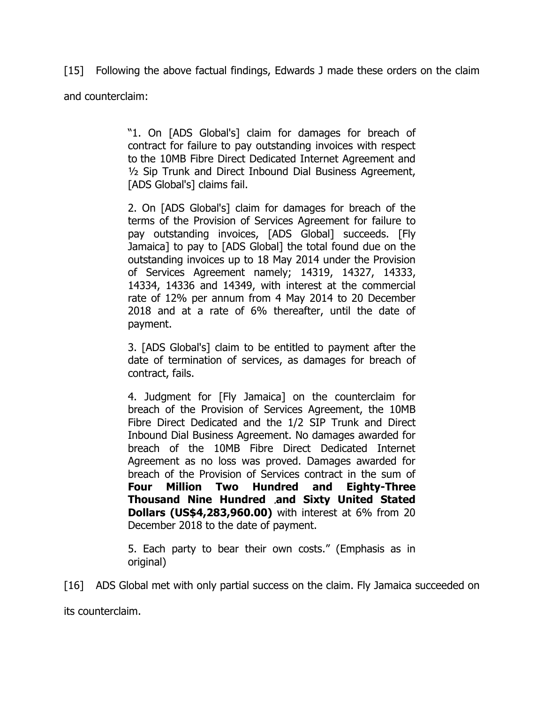[15] Following the above factual findings, Edwards J made these orders on the claim and counterclaim:

> "1. On [ADS Global's] claim for damages for breach of contract for failure to pay outstanding invoices with respect to the 10MB Fibre Direct Dedicated Internet Agreement and ½ Sip Trunk and Direct Inbound Dial Business Agreement, [ADS Global's] claims fail.

> 2. On [ADS Global's] claim for damages for breach of the terms of the Provision of Services Agreement for failure to pay outstanding invoices, [ADS Global] succeeds. [Fly Jamaica] to pay to [ADS Global] the total found due on the outstanding invoices up to 18 May 2014 under the Provision of Services Agreement namely; 14319, 14327, 14333, 14334, 14336 and 14349, with interest at the commercial rate of 12% per annum from 4 May 2014 to 20 December 2018 and at a rate of 6% thereafter, until the date of payment.

> 3. [ADS Global's] claim to be entitled to payment after the date of termination of services, as damages for breach of contract, fails.

> 4. Judgment for [Fly Jamaica] on the counterclaim for breach of the Provision of Services Agreement, the 10MB Fibre Direct Dedicated and the 1/2 SIP Trunk and Direct Inbound Dial Business Agreement. No damages awarded for breach of the 10MB Fibre Direct Dedicated Internet Agreement as no loss was proved. Damages awarded for breach of the Provision of Services contract in the sum of **Four Million Two Hundred and Eighty-Three Thousand Nine Hundred and Sixty United Stated Dollars (US\$4,283,960.00)** with interest at 6% from 20 December 2018 to the date of payment.

5. Each party to bear their own costs." (Emphasis as in original)

[16] ADS Global met with only partial success on the claim. Fly Jamaica succeeded on

its counterclaim.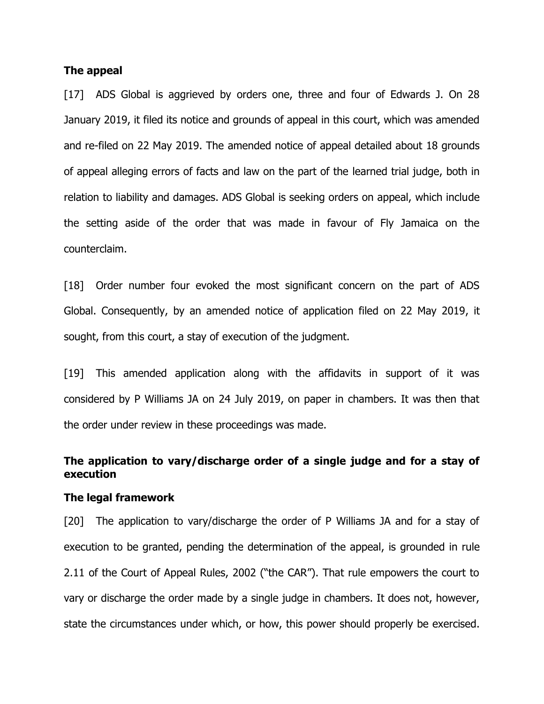#### **The appeal**

[17] ADS Global is aggrieved by orders one, three and four of Edwards J. On 28 January 2019, it filed its notice and grounds of appeal in this court, which was amended and re-filed on 22 May 2019. The amended notice of appeal detailed about 18 grounds of appeal alleging errors of facts and law on the part of the learned trial judge, both in relation to liability and damages. ADS Global is seeking orders on appeal, which include the setting aside of the order that was made in favour of Fly Jamaica on the counterclaim.

[18] Order number four evoked the most significant concern on the part of ADS Global. Consequently, by an amended notice of application filed on 22 May 2019, it sought, from this court, a stay of execution of the judgment.

[19] This amended application along with the affidavits in support of it was considered by P Williams JA on 24 July 2019, on paper in chambers. It was then that the order under review in these proceedings was made.

# **The application to vary/discharge order of a single judge and for a stay of execution**

# **The legal framework**

[20] The application to vary/discharge the order of P Williams JA and for a stay of execution to be granted, pending the determination of the appeal, is grounded in rule 2.11 of the Court of Appeal Rules, 2002 ("the CAR"). That rule empowers the court to vary or discharge the order made by a single judge in chambers. It does not, however, state the circumstances under which, or how, this power should properly be exercised.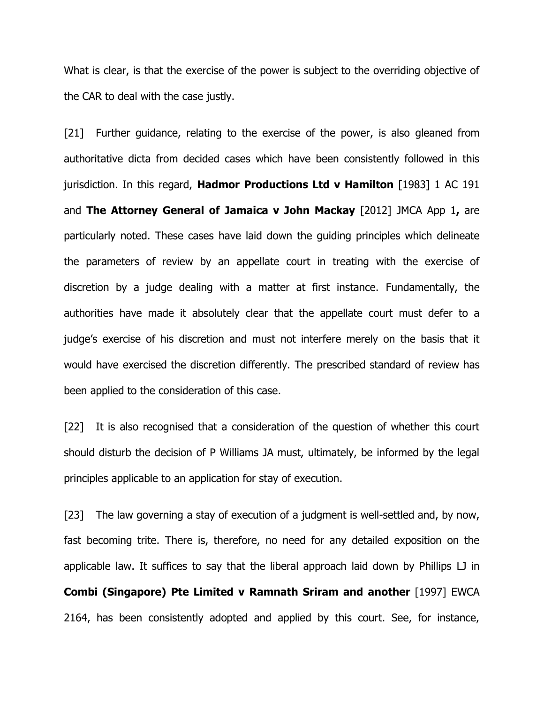What is clear, is that the exercise of the power is subject to the overriding objective of the CAR to deal with the case justly.

[21] Further guidance, relating to the exercise of the power, is also gleaned from authoritative dicta from decided cases which have been consistently followed in this jurisdiction. In this regard, **Hadmor Productions Ltd v Hamilton** [1983] 1 AC 191 and **The Attorney General of Jamaica v John Mackay** [2012] JMCA App 1**,** are particularly noted. These cases have laid down the guiding principles which delineate the parameters of review by an appellate court in treating with the exercise of discretion by a judge dealing with a matter at first instance. Fundamentally, the authorities have made it absolutely clear that the appellate court must defer to a judge's exercise of his discretion and must not interfere merely on the basis that it would have exercised the discretion differently. The prescribed standard of review has been applied to the consideration of this case.

[22] It is also recognised that a consideration of the question of whether this court should disturb the decision of P Williams JA must, ultimately, be informed by the legal principles applicable to an application for stay of execution.

[23] The law governing a stay of execution of a judgment is well-settled and, by now, fast becoming trite. There is, therefore, no need for any detailed exposition on the applicable law. It suffices to say that the liberal approach laid down by Phillips LJ in **Combi (Singapore) Pte Limited v Ramnath Sriram and another** [1997] EWCA 2164, has been consistently adopted and applied by this court. See, for instance,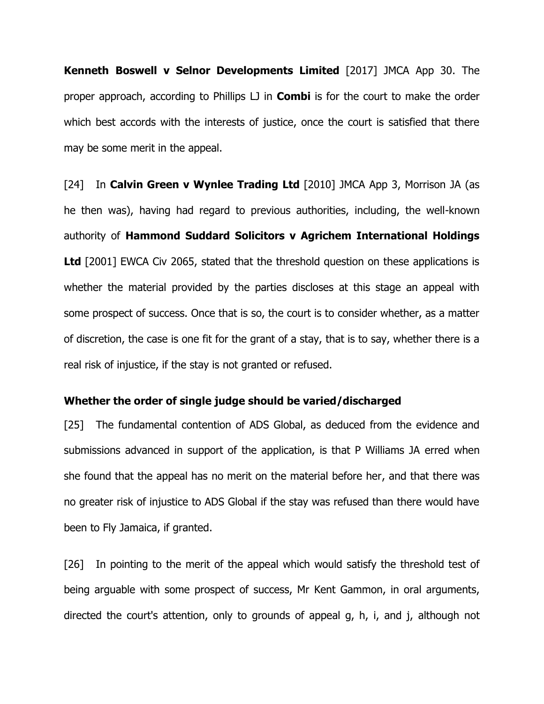**Kenneth Boswell v Selnor Developments Limited** [2017] JMCA App 30. The proper approach, according to Phillips LJ in **Combi** is for the court to make the order which best accords with the interests of justice, once the court is satisfied that there may be some merit in the appeal.

[24] In **Calvin Green v Wynlee Trading Ltd** [2010] JMCA App 3, Morrison JA (as he then was), having had regard to previous authorities, including, the well-known authority of **Hammond Suddard Solicitors v Agrichem International Holdings Ltd** [2001] EWCA Civ 2065, stated that the threshold question on these applications is whether the material provided by the parties discloses at this stage an appeal with some prospect of success. Once that is so, the court is to consider whether, as a matter of discretion, the case is one fit for the grant of a stay, that is to say, whether there is a real risk of injustice, if the stay is not granted or refused.

#### **Whether the order of single judge should be varied/discharged**

[25] The fundamental contention of ADS Global, as deduced from the evidence and submissions advanced in support of the application, is that P Williams JA erred when she found that the appeal has no merit on the material before her, and that there was no greater risk of injustice to ADS Global if the stay was refused than there would have been to Fly Jamaica, if granted.

[26] In pointing to the merit of the appeal which would satisfy the threshold test of being arguable with some prospect of success, Mr Kent Gammon, in oral arguments, directed the court's attention, only to grounds of appeal g, h, i, and j, although not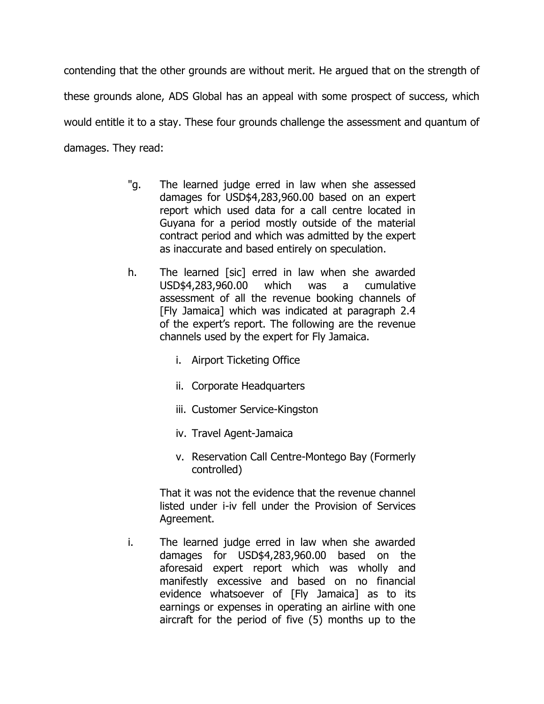contending that the other grounds are without merit. He argued that on the strength of these grounds alone, ADS Global has an appeal with some prospect of success, which would entitle it to a stay. These four grounds challenge the assessment and quantum of damages. They read:

- "g. The learned judge erred in law when she assessed damages for USD\$4,283,960.00 based on an expert report which used data for a call centre located in Guyana for a period mostly outside of the material contract period and which was admitted by the expert as inaccurate and based entirely on speculation.
- h. The learned [sic] erred in law when she awarded USD\$4,283,960.00 which was a cumulative assessment of all the revenue booking channels of [Fly Jamaica] which was indicated at paragraph 2.4 of the expert's report. The following are the revenue channels used by the expert for Fly Jamaica.
	- i. Airport Ticketing Office
	- ii. Corporate Headquarters
	- iii. Customer Service-Kingston
	- iv. Travel Agent-Jamaica
	- v. Reservation Call Centre-Montego Bay (Formerly controlled)

That it was not the evidence that the revenue channel listed under i-iv fell under the Provision of Services Agreement.

i. The learned judge erred in law when she awarded damages for USD\$4,283,960.00 based on the aforesaid expert report which was wholly and manifestly excessive and based on no financial evidence whatsoever of [Fly Jamaica] as to its earnings or expenses in operating an airline with one aircraft for the period of five (5) months up to the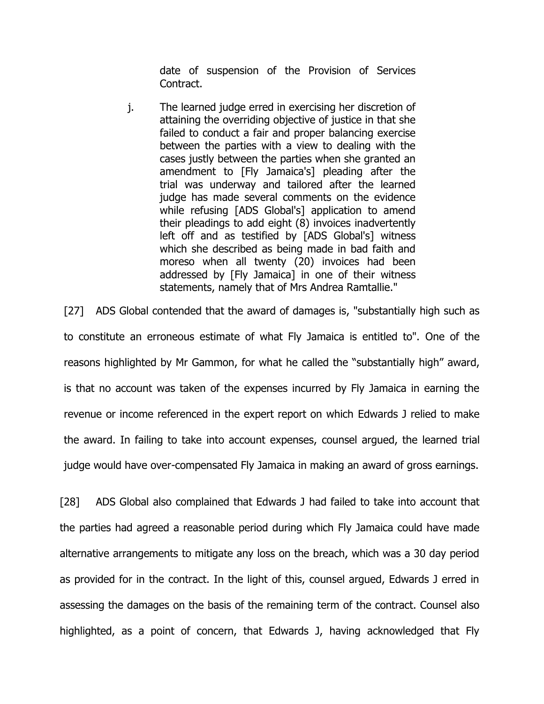date of suspension of the Provision of Services Contract.

j. The learned judge erred in exercising her discretion of attaining the overriding objective of justice in that she failed to conduct a fair and proper balancing exercise between the parties with a view to dealing with the cases justly between the parties when she granted an amendment to [Fly Jamaica's] pleading after the trial was underway and tailored after the learned judge has made several comments on the evidence while refusing [ADS Global's] application to amend their pleadings to add eight (8) invoices inadvertently left off and as testified by [ADS Global's] witness which she described as being made in bad faith and moreso when all twenty (20) invoices had been addressed by [Fly Jamaica] in one of their witness statements, namely that of Mrs Andrea Ramtallie."

[27] ADS Global contended that the award of damages is, "substantially high such as to constitute an erroneous estimate of what Fly Jamaica is entitled to". One of the reasons highlighted by Mr Gammon, for what he called the "substantially high" award, is that no account was taken of the expenses incurred by Fly Jamaica in earning the revenue or income referenced in the expert report on which Edwards J relied to make the award. In failing to take into account expenses, counsel argued, the learned trial judge would have over-compensated Fly Jamaica in making an award of gross earnings.

[28] ADS Global also complained that Edwards J had failed to take into account that the parties had agreed a reasonable period during which Fly Jamaica could have made alternative arrangements to mitigate any loss on the breach, which was a 30 day period as provided for in the contract. In the light of this, counsel argued, Edwards J erred in assessing the damages on the basis of the remaining term of the contract. Counsel also highlighted, as a point of concern, that Edwards J, having acknowledged that Fly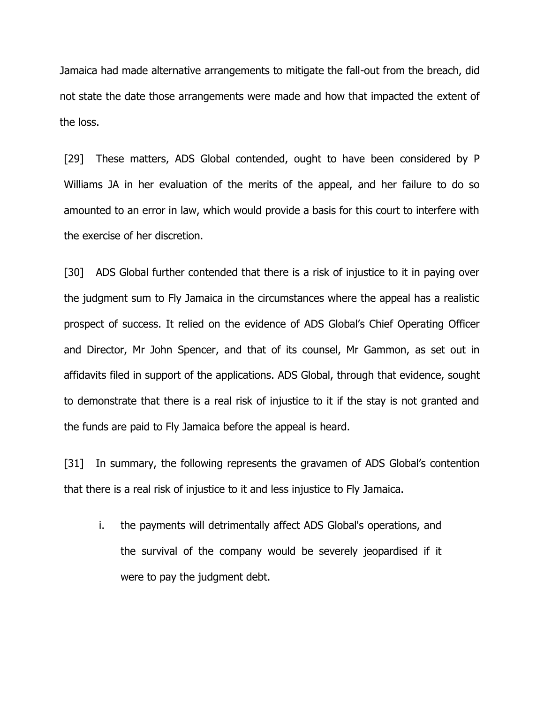Jamaica had made alternative arrangements to mitigate the fall-out from the breach, did not state the date those arrangements were made and how that impacted the extent of the loss.

[29] These matters, ADS Global contended, ought to have been considered by P Williams JA in her evaluation of the merits of the appeal, and her failure to do so amounted to an error in law, which would provide a basis for this court to interfere with the exercise of her discretion.

[30] ADS Global further contended that there is a risk of injustice to it in paying over the judgment sum to Fly Jamaica in the circumstances where the appeal has a realistic prospect of success. It relied on the evidence of ADS Global's Chief Operating Officer and Director, Mr John Spencer, and that of its counsel, Mr Gammon, as set out in affidavits filed in support of the applications. ADS Global, through that evidence, sought to demonstrate that there is a real risk of injustice to it if the stay is not granted and the funds are paid to Fly Jamaica before the appeal is heard.

[31] In summary, the following represents the gravamen of ADS Global's contention that there is a real risk of injustice to it and less injustice to Fly Jamaica.

i. the payments will detrimentally affect ADS Global's operations, and the survival of the company would be severely jeopardised if it were to pay the judgment debt.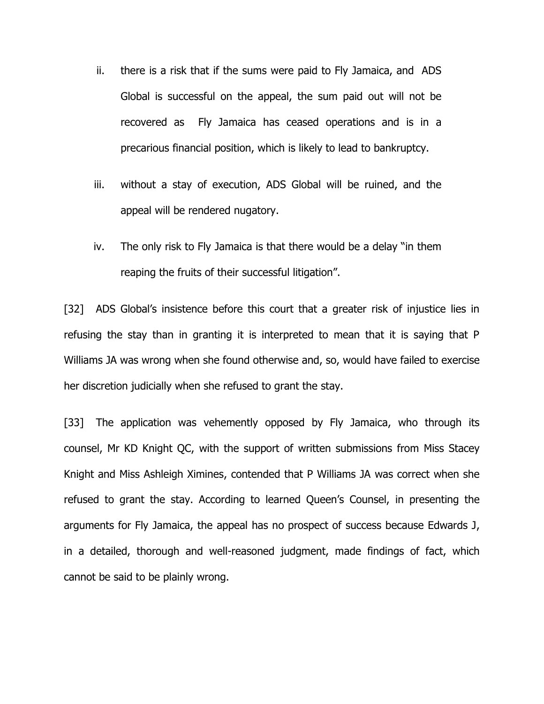- ii. there is a risk that if the sums were paid to Fly Jamaica, and ADS Global is successful on the appeal, the sum paid out will not be recovered as Fly Jamaica has ceased operations and is in a precarious financial position, which is likely to lead to bankruptcy.
- iii. without a stay of execution, ADS Global will be ruined, and the appeal will be rendered nugatory.
- iv. The only risk to Fly Jamaica is that there would be a delay "in them reaping the fruits of their successful litigation".

[32] ADS Global's insistence before this court that a greater risk of injustice lies in refusing the stay than in granting it is interpreted to mean that it is saying that P Williams JA was wrong when she found otherwise and, so, would have failed to exercise her discretion judicially when she refused to grant the stay.

[33] The application was vehemently opposed by Fly Jamaica, who through its counsel, Mr KD Knight QC, with the support of written submissions from Miss Stacey Knight and Miss Ashleigh Ximines, contended that P Williams JA was correct when she refused to grant the stay. According to learned Queen's Counsel, in presenting the arguments for Fly Jamaica, the appeal has no prospect of success because Edwards J, in a detailed, thorough and well-reasoned judgment, made findings of fact, which cannot be said to be plainly wrong.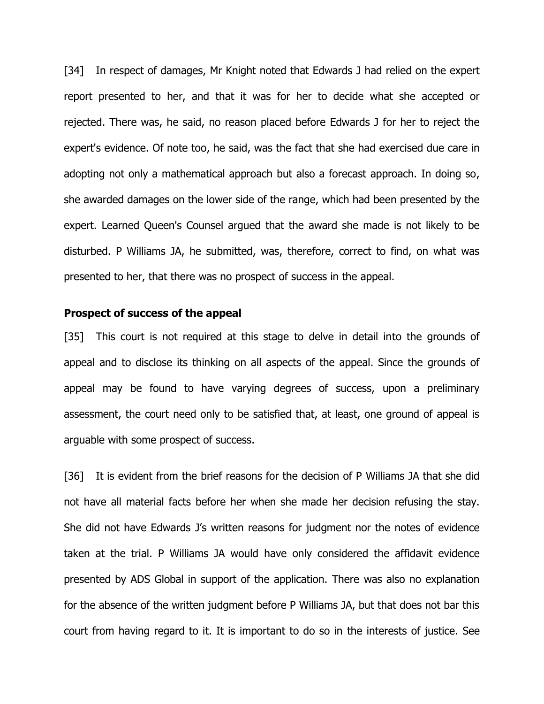[34] In respect of damages, Mr Knight noted that Edwards J had relied on the expert report presented to her, and that it was for her to decide what she accepted or rejected. There was, he said, no reason placed before Edwards J for her to reject the expert's evidence. Of note too, he said, was the fact that she had exercised due care in adopting not only a mathematical approach but also a forecast approach. In doing so, she awarded damages on the lower side of the range, which had been presented by the expert. Learned Queen's Counsel argued that the award she made is not likely to be disturbed. P Williams JA, he submitted, was, therefore, correct to find, on what was presented to her, that there was no prospect of success in the appeal.

## **Prospect of success of the appeal**

[35] This court is not required at this stage to delve in detail into the grounds of appeal and to disclose its thinking on all aspects of the appeal. Since the grounds of appeal may be found to have varying degrees of success, upon a preliminary assessment, the court need only to be satisfied that, at least, one ground of appeal is arguable with some prospect of success.

[36] It is evident from the brief reasons for the decision of P Williams JA that she did not have all material facts before her when she made her decision refusing the stay. She did not have Edwards J's written reasons for judgment nor the notes of evidence taken at the trial. P Williams JA would have only considered the affidavit evidence presented by ADS Global in support of the application. There was also no explanation for the absence of the written judgment before P Williams JA, but that does not bar this court from having regard to it. It is important to do so in the interests of justice. See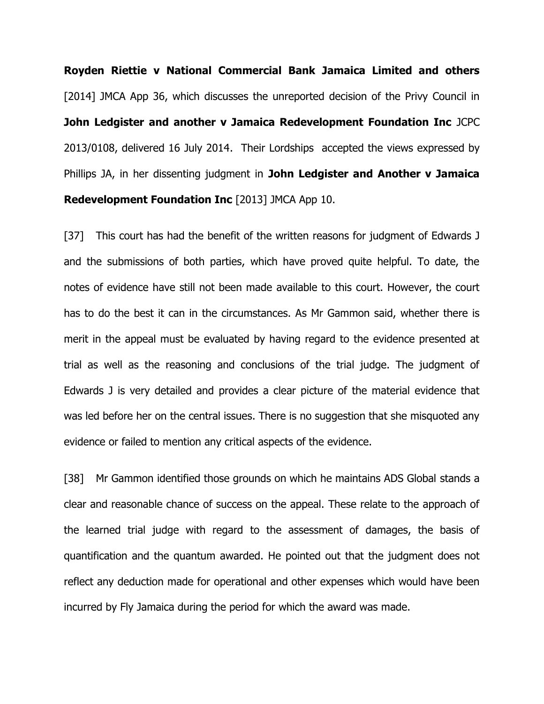**Royden Riettie v National Commercial Bank Jamaica Limited and others**  [2014] JMCA App 36, which discusses the unreported decision of the Privy Council in **John Ledgister and another v Jamaica Redevelopment Foundation Inc** JCPC 2013/0108, delivered 16 July 2014. Their Lordships accepted the views expressed by Phillips JA, in her dissenting judgment in **John Ledgister and Another v Jamaica Redevelopment Foundation Inc** [2013] JMCA App 10.

[37] This court has had the benefit of the written reasons for judgment of Edwards J and the submissions of both parties, which have proved quite helpful. To date, the notes of evidence have still not been made available to this court. However, the court has to do the best it can in the circumstances. As Mr Gammon said, whether there is merit in the appeal must be evaluated by having regard to the evidence presented at trial as well as the reasoning and conclusions of the trial judge. The judgment of Edwards J is very detailed and provides a clear picture of the material evidence that was led before her on the central issues. There is no suggestion that she misquoted any evidence or failed to mention any critical aspects of the evidence.

[38] Mr Gammon identified those grounds on which he maintains ADS Global stands a clear and reasonable chance of success on the appeal. These relate to the approach of the learned trial judge with regard to the assessment of damages, the basis of quantification and the quantum awarded. He pointed out that the judgment does not reflect any deduction made for operational and other expenses which would have been incurred by Fly Jamaica during the period for which the award was made.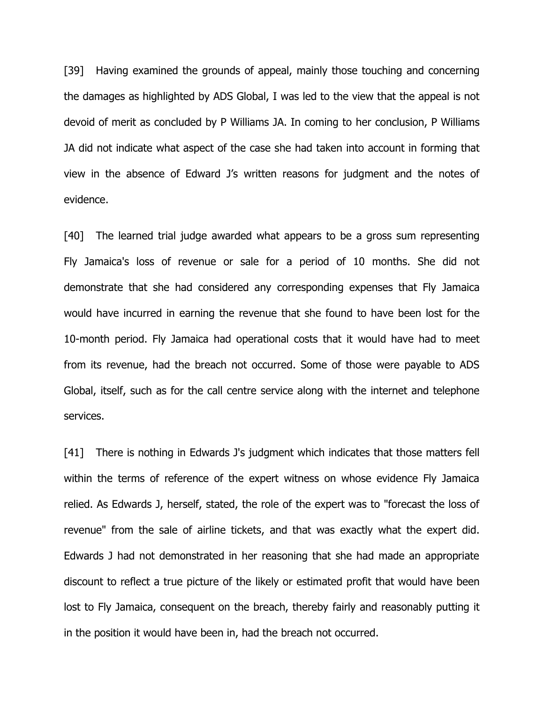[39] Having examined the grounds of appeal, mainly those touching and concerning the damages as highlighted by ADS Global, I was led to the view that the appeal is not devoid of merit as concluded by P Williams JA. In coming to her conclusion, P Williams JA did not indicate what aspect of the case she had taken into account in forming that view in the absence of Edward J's written reasons for judgment and the notes of evidence.

[40] The learned trial judge awarded what appears to be a gross sum representing Fly Jamaica's loss of revenue or sale for a period of 10 months. She did not demonstrate that she had considered any corresponding expenses that Fly Jamaica would have incurred in earning the revenue that she found to have been lost for the 10-month period. Fly Jamaica had operational costs that it would have had to meet from its revenue, had the breach not occurred. Some of those were payable to ADS Global, itself, such as for the call centre service along with the internet and telephone services.

[41] There is nothing in Edwards J's judgment which indicates that those matters fell within the terms of reference of the expert witness on whose evidence Fly Jamaica relied. As Edwards J, herself, stated, the role of the expert was to "forecast the loss of revenue" from the sale of airline tickets, and that was exactly what the expert did. Edwards J had not demonstrated in her reasoning that she had made an appropriate discount to reflect a true picture of the likely or estimated profit that would have been lost to Fly Jamaica, consequent on the breach, thereby fairly and reasonably putting it in the position it would have been in, had the breach not occurred.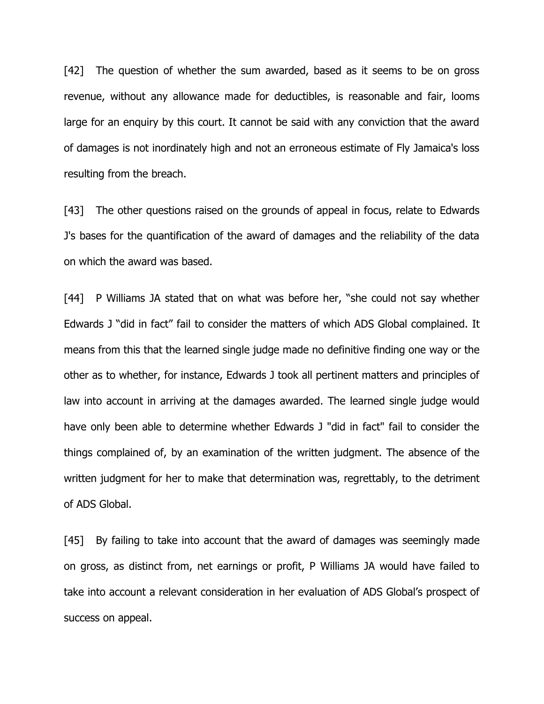[42] The question of whether the sum awarded, based as it seems to be on gross revenue, without any allowance made for deductibles, is reasonable and fair, looms large for an enquiry by this court. It cannot be said with any conviction that the award of damages is not inordinately high and not an erroneous estimate of Fly Jamaica's loss resulting from the breach.

[43] The other questions raised on the grounds of appeal in focus, relate to Edwards J's bases for the quantification of the award of damages and the reliability of the data on which the award was based.

[44] P Williams JA stated that on what was before her, "she could not say whether Edwards J "did in fact" fail to consider the matters of which ADS Global complained. It means from this that the learned single judge made no definitive finding one way or the other as to whether, for instance, Edwards J took all pertinent matters and principles of law into account in arriving at the damages awarded. The learned single judge would have only been able to determine whether Edwards J "did in fact" fail to consider the things complained of, by an examination of the written judgment. The absence of the written judgment for her to make that determination was, regrettably, to the detriment of ADS Global.

[45] By failing to take into account that the award of damages was seemingly made on gross, as distinct from, net earnings or profit, P Williams JA would have failed to take into account a relevant consideration in her evaluation of ADS Global's prospect of success on appeal.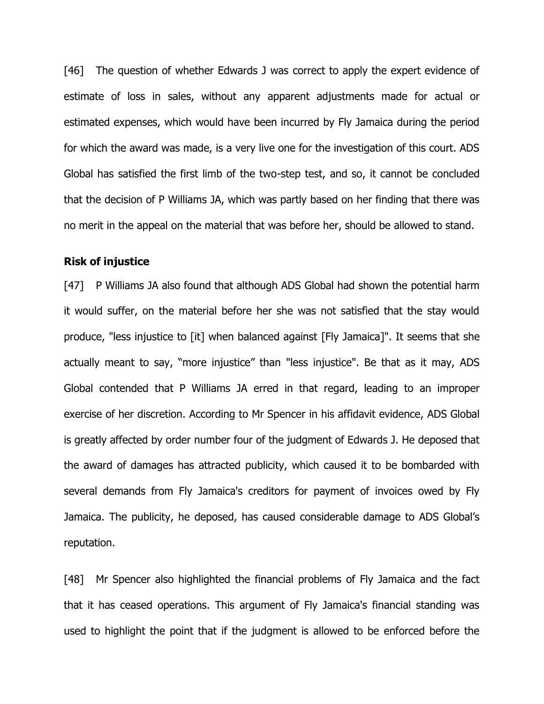[46] The question of whether Edwards J was correct to apply the expert evidence of estimate of loss in sales, without any apparent adjustments made for actual or estimated expenses, which would have been incurred by Fly Jamaica during the period for which the award was made, is a very live one for the investigation of this court. ADS Global has satisfied the first limb of the two-step test, and so, it cannot be concluded that the decision of P Williams JA, which was partly based on her finding that there was no merit in the appeal on the material that was before her, should be allowed to stand.

#### **Risk of injustice**

[47] P Williams JA also found that although ADS Global had shown the potential harm it would suffer, on the material before her she was not satisfied that the stay would produce, "less injustice to [it] when balanced against [Fly Jamaica]". It seems that she actually meant to say, "more injustice" than "less injustice". Be that as it may, ADS Global contended that P Williams JA erred in that regard, leading to an improper exercise of her discretion. According to Mr Spencer in his affidavit evidence, ADS Global is greatly affected by order number four of the judgment of Edwards J. He deposed that the award of damages has attracted publicity, which caused it to be bombarded with several demands from Fly Jamaica's creditors for payment of invoices owed by Fly Jamaica. The publicity, he deposed, has caused considerable damage to ADS Global's reputation.

[48] Mr Spencer also highlighted the financial problems of Fly Jamaica and the fact that it has ceased operations. This argument of Fly Jamaica's financial standing was used to highlight the point that if the judgment is allowed to be enforced before the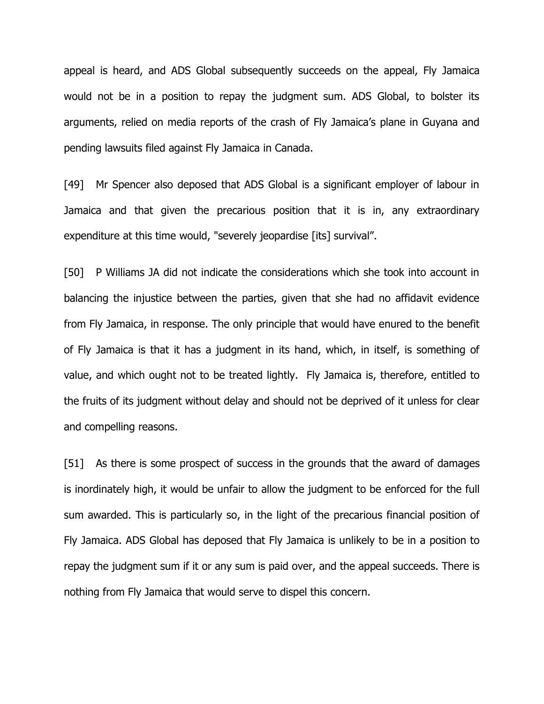appeal is heard, and ADS Global subsequently succeeds on the appeal, Fly Jamaica would not be in a position to repay the judgment sum. ADS Global, to bolster its arguments, relied on media reports of the crash of Fly Jamaica's plane in Guyana and pending lawsuits filed against Fly Jamaica in Canada.

[49] Mr Spencer also deposed that ADS Global is a significant employer of labour in Jamaica and that given the precarious position that it is in, any extraordinary expenditure at this time would, "severely jeopardise [its] survival".

[50] P Williams JA did not indicate the considerations which she took into account in balancing the injustice between the parties, given that she had no affidavit evidence from Fly Jamaica, in response. The only principle that would have enured to the benefit of Fly Jamaica is that it has a judgment in its hand, which, in itself, is something of value, and which ought not to be treated lightly. Fly Jamaica is, therefore, entitled to the fruits of its judgment without delay and should not be deprived of it unless for clear and compelling reasons.

[51] As there is some prospect of success in the grounds that the award of damages is inordinately high, it would be unfair to allow the judgment to be enforced for the full sum awarded. This is particularly so, in the light of the precarious financial position of Fly Jamaica. ADS Global has deposed that Fly Jamaica is unlikely to be in a position to repay the judgment sum if it or any sum is paid over, and the appeal succeeds. There is nothing from Fly Jamaica that would serve to dispel this concern.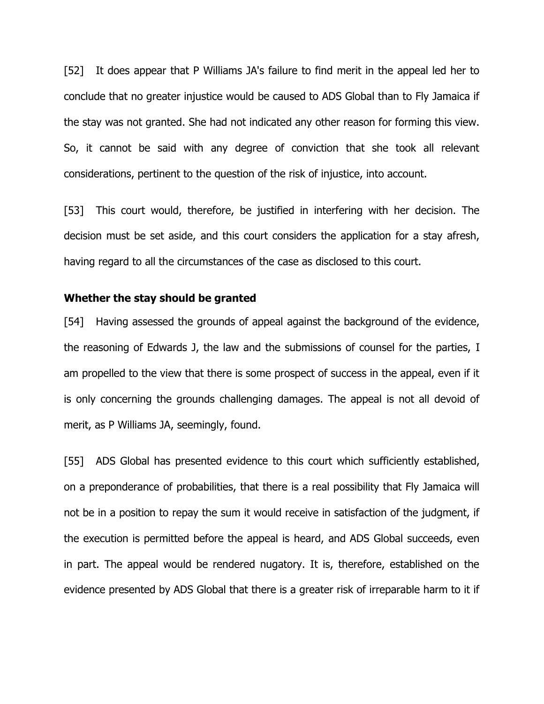[52] It does appear that P Williams JA's failure to find merit in the appeal led her to conclude that no greater injustice would be caused to ADS Global than to Fly Jamaica if the stay was not granted. She had not indicated any other reason for forming this view. So, it cannot be said with any degree of conviction that she took all relevant considerations, pertinent to the question of the risk of injustice, into account.

[53] This court would, therefore, be justified in interfering with her decision. The decision must be set aside, and this court considers the application for a stay afresh, having regard to all the circumstances of the case as disclosed to this court.

#### **Whether the stay should be granted**

[54] Having assessed the grounds of appeal against the background of the evidence, the reasoning of Edwards J, the law and the submissions of counsel for the parties, I am propelled to the view that there is some prospect of success in the appeal, even if it is only concerning the grounds challenging damages. The appeal is not all devoid of merit, as P Williams JA, seemingly, found.

[55] ADS Global has presented evidence to this court which sufficiently established, on a preponderance of probabilities, that there is a real possibility that Fly Jamaica will not be in a position to repay the sum it would receive in satisfaction of the judgment, if the execution is permitted before the appeal is heard, and ADS Global succeeds, even in part. The appeal would be rendered nugatory. It is, therefore, established on the evidence presented by ADS Global that there is a greater risk of irreparable harm to it if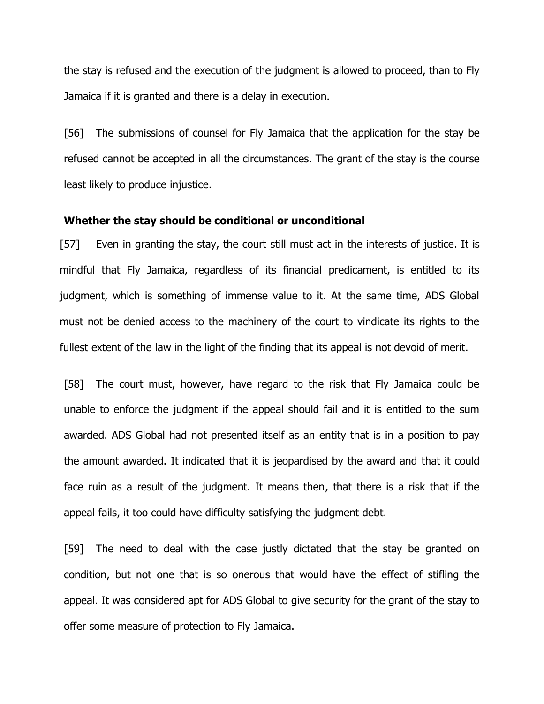the stay is refused and the execution of the judgment is allowed to proceed, than to Fly Jamaica if it is granted and there is a delay in execution.

[56] The submissions of counsel for Fly Jamaica that the application for the stay be refused cannot be accepted in all the circumstances. The grant of the stay is the course least likely to produce injustice.

## **Whether the stay should be conditional or unconditional**

[57] Even in granting the stay, the court still must act in the interests of justice. It is mindful that Fly Jamaica, regardless of its financial predicament, is entitled to its judgment, which is something of immense value to it. At the same time, ADS Global must not be denied access to the machinery of the court to vindicate its rights to the fullest extent of the law in the light of the finding that its appeal is not devoid of merit.

[58] The court must, however, have regard to the risk that Fly Jamaica could be unable to enforce the judgment if the appeal should fail and it is entitled to the sum awarded. ADS Global had not presented itself as an entity that is in a position to pay the amount awarded. It indicated that it is jeopardised by the award and that it could face ruin as a result of the judgment. It means then, that there is a risk that if the appeal fails, it too could have difficulty satisfying the judgment debt.

[59] The need to deal with the case justly dictated that the stay be granted on condition, but not one that is so onerous that would have the effect of stifling the appeal. It was considered apt for ADS Global to give security for the grant of the stay to offer some measure of protection to Fly Jamaica.